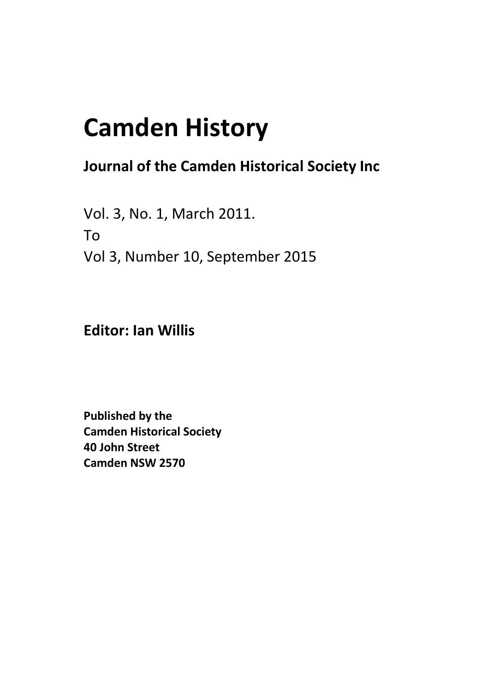## **Camden History**

## **Journal of the Camden Historical Society Inc**

Vol. 3, No. 1, March 2011. To Vol 3, Number 10, September 2015

**Editor: Ian Willis**

**Published by the Camden Historical Society 40 John Street Camden NSW 2570**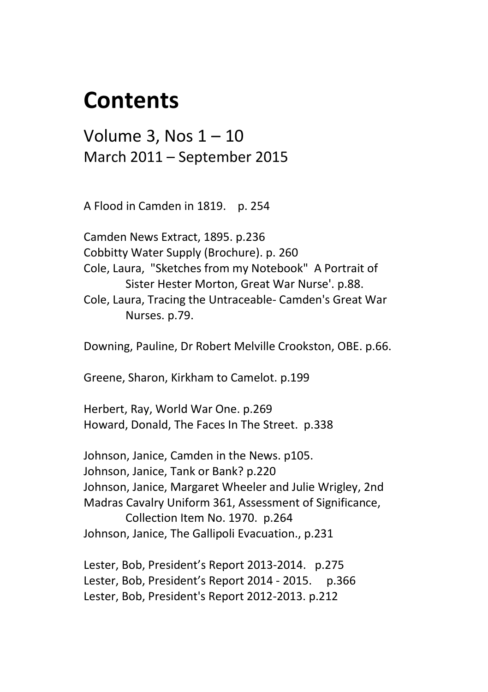## **Contents**

Volume 3, Nos 1 – 10 March 2011 – September 2015

A Flood in Camden in 1819. p. 254

Camden News Extract, 1895. p.236 Cobbitty Water Supply (Brochure). p. 260 Cole, Laura, "Sketches from my Notebook" A Portrait of Sister Hester Morton, Great War Nurse'. p.88. Cole, Laura, Tracing the Untraceable- Camden's Great War Nurses. p.79.

Downing, Pauline, Dr Robert Melville Crookston, OBE. p.66.

Greene, Sharon, Kirkham to Camelot. p.199

Herbert, Ray, World War One. p.269 Howard, Donald, The Faces In The Street. p.338

Johnson, Janice, Camden in the News. p105. Johnson, Janice, Tank or Bank? p.220 Johnson, Janice, Margaret Wheeler and Julie Wrigley, 2nd Madras Cavalry Uniform 361, Assessment of Significance, Collection Item No. 1970. p.264 Johnson, Janice, The Gallipoli Evacuation., p.231

Lester, Bob, President's Report 2013-2014. p.275 Lester, Bob, President's Report 2014 - 2015. p.366 Lester, Bob, President's Report 2012-2013. p.212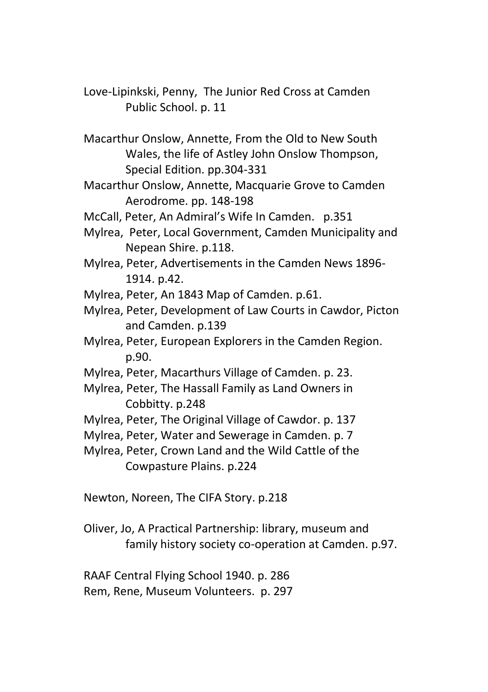- Love-Lipinkski, Penny, The Junior Red Cross at Camden Public School. p. 11
- Macarthur Onslow, Annette, From the Old to New South Wales, the life of Astley John Onslow Thompson, Special Edition. pp.304-331
- Macarthur Onslow, Annette, Macquarie Grove to Camden Aerodrome. pp. 148-198
- McCall, Peter, An Admiral's Wife In Camden. p.351
- Mylrea, Peter, Local Government, Camden Municipality and Nepean Shire. p.118.
- Mylrea, Peter, Advertisements in the Camden News 1896- 1914. p.42.
- Mylrea, Peter, An 1843 Map of Camden. p.61.
- Mylrea, Peter, Development of Law Courts in Cawdor, Picton and Camden. p.139
- Mylrea, Peter, European Explorers in the Camden Region. p.90.
- Mylrea, Peter, Macarthurs Village of Camden. p. 23.
- Mylrea, Peter, The Hassall Family as Land Owners in Cobbitty. p.248
- Mylrea, Peter, The Original Village of Cawdor. p. 137
- Mylrea, Peter, Water and Sewerage in Camden. p. 7
- Mylrea, Peter, Crown Land and the Wild Cattle of the Cowpasture Plains. p.224
- Newton, Noreen, The CIFA Story. p.218
- Oliver, Jo, A Practical Partnership: library, museum and family history society co-operation at Camden. p.97.

RAAF Central Flying School 1940. p. 286 Rem, Rene, Museum Volunteers. p. 297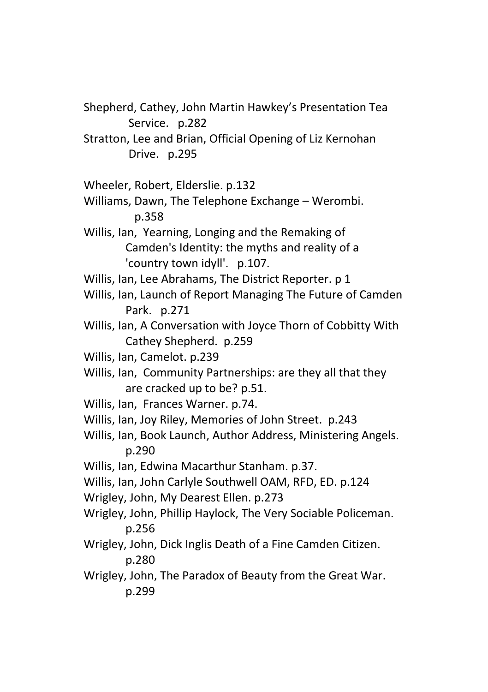Shepherd, Cathey, John Martin Hawkey's Presentation Tea Service. p.282

Stratton, Lee and Brian, Official Opening of Liz Kernohan Drive. p.295

- Wheeler, Robert, Elderslie. p.132
- Williams, Dawn, The Telephone Exchange Werombi. p.358
- Willis, Ian, Yearning, Longing and the Remaking of Camden's Identity: the myths and reality of a 'country town idyll'. p.107.

Willis, Ian, Lee Abrahams, The District Reporter. p 1

- Willis, Ian, Launch of Report Managing The Future of Camden Park. p.271
- Willis, Ian, A Conversation with Joyce Thorn of Cobbitty With Cathey Shepherd. p.259
- Willis, Ian, Camelot. p.239
- Willis, Ian, Community Partnerships: are they all that they are cracked up to be? p.51.
- Willis, Ian, Frances Warner. p.74.
- Willis, Ian, Joy Riley, Memories of John Street. p.243
- Willis, Ian, Book Launch, Author Address, Ministering Angels. p.290

Willis, Ian, Edwina Macarthur Stanham. p.37.

Willis, Ian, John Carlyle Southwell OAM, RFD, ED. p.124

- Wrigley, John, My Dearest Ellen. p.273
- Wrigley, John, Phillip Haylock, The Very Sociable Policeman. p.256
- Wrigley, John, Dick Inglis Death of a Fine Camden Citizen. p.280
- Wrigley, John, The Paradox of Beauty from the Great War. p.299